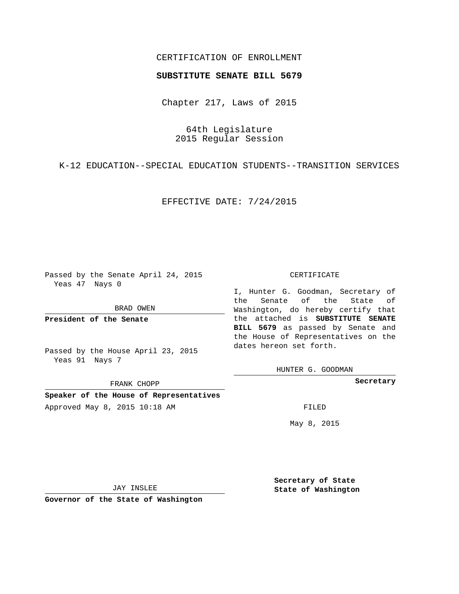## CERTIFICATION OF ENROLLMENT

### **SUBSTITUTE SENATE BILL 5679**

Chapter 217, Laws of 2015

64th Legislature 2015 Regular Session

K-12 EDUCATION--SPECIAL EDUCATION STUDENTS--TRANSITION SERVICES

EFFECTIVE DATE: 7/24/2015

Passed by the Senate April 24, 2015 Yeas 47 Nays 0

BRAD OWEN

**President of the Senate**

Passed by the House April 23, 2015 Yeas 91 Nays 7

FRANK CHOPP

**Speaker of the House of Representatives** Approved May 8, 2015 10:18 AM FILED

#### CERTIFICATE

I, Hunter G. Goodman, Secretary of the Senate of the State of Washington, do hereby certify that the attached is **SUBSTITUTE SENATE BILL 5679** as passed by Senate and the House of Representatives on the dates hereon set forth.

HUNTER G. GOODMAN

**Secretary**

May 8, 2015

JAY INSLEE

**Governor of the State of Washington**

**Secretary of State State of Washington**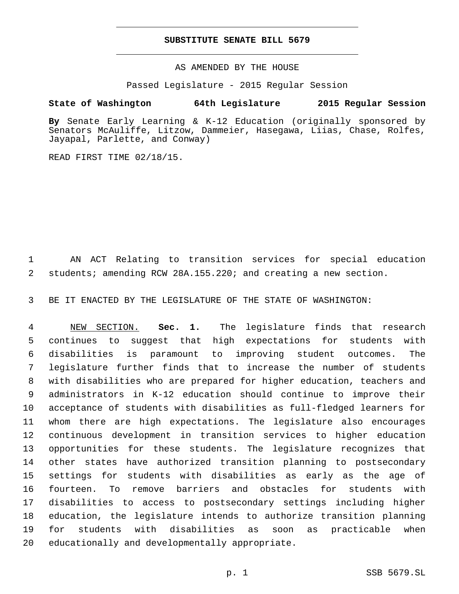### **SUBSTITUTE SENATE BILL 5679**

AS AMENDED BY THE HOUSE

Passed Legislature - 2015 Regular Session

# **State of Washington 64th Legislature 2015 Regular Session**

**By** Senate Early Learning & K-12 Education (originally sponsored by Senators McAuliffe, Litzow, Dammeier, Hasegawa, Liias, Chase, Rolfes, Jayapal, Parlette, and Conway)

READ FIRST TIME 02/18/15.

 AN ACT Relating to transition services for special education students; amending RCW 28A.155.220; and creating a new section.

BE IT ENACTED BY THE LEGISLATURE OF THE STATE OF WASHINGTON:

 NEW SECTION. **Sec. 1.** The legislature finds that research continues to suggest that high expectations for students with disabilities is paramount to improving student outcomes. The legislature further finds that to increase the number of students with disabilities who are prepared for higher education, teachers and administrators in K-12 education should continue to improve their acceptance of students with disabilities as full-fledged learners for whom there are high expectations. The legislature also encourages continuous development in transition services to higher education opportunities for these students. The legislature recognizes that other states have authorized transition planning to postsecondary settings for students with disabilities as early as the age of fourteen. To remove barriers and obstacles for students with disabilities to access to postsecondary settings including higher education, the legislature intends to authorize transition planning for students with disabilities as soon as practicable when educationally and developmentally appropriate.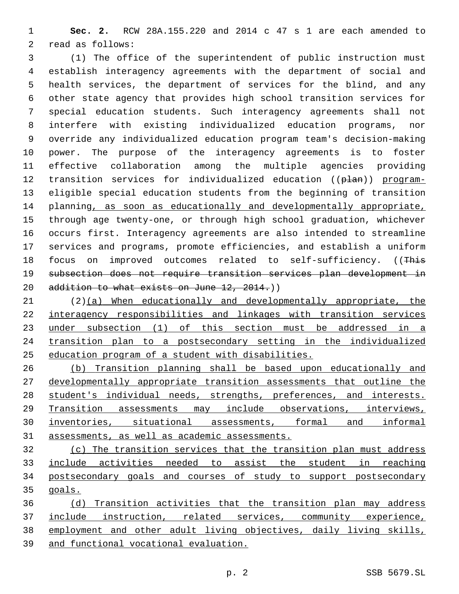**Sec. 2.** RCW 28A.155.220 and 2014 c 47 s 1 are each amended to 2 read as follows:

 (1) The office of the superintendent of public instruction must establish interagency agreements with the department of social and health services, the department of services for the blind, and any other state agency that provides high school transition services for special education students. Such interagency agreements shall not interfere with existing individualized education programs, nor override any individualized education program team's decision-making power. The purpose of the interagency agreements is to foster effective collaboration among the multiple agencies providing 12 transition services for individualized education ((plan)) program- eligible special education students from the beginning of transition planning, as soon as educationally and developmentally appropriate, through age twenty-one, or through high school graduation, whichever occurs first. Interagency agreements are also intended to streamline services and programs, promote efficiencies, and establish a uniform 18 focus on improved outcomes related to self-sufficiency. ((This subsection does not require transition services plan development in 20 addition to what exists on June 12, 2014.))

 (2)(a) When educationally and developmentally appropriate, the interagency responsibilities and linkages with transition services under subsection (1) of this section must be addressed in a transition plan to a postsecondary setting in the individualized education program of a student with disabilities.

 (b) Transition planning shall be based upon educationally and developmentally appropriate transition assessments that outline the student's individual needs, strengths, preferences, and interests. Transition assessments may include observations, interviews, inventories, situational assessments, formal and informal assessments, as well as academic assessments.

 (c) The transition services that the transition plan must address include activities needed to assist the student in reaching postsecondary goals and courses of study to support postsecondary goals.

 (d) Transition activities that the transition plan may address include instruction, related services, community experience, employment and other adult living objectives, daily living skills, and functional vocational evaluation.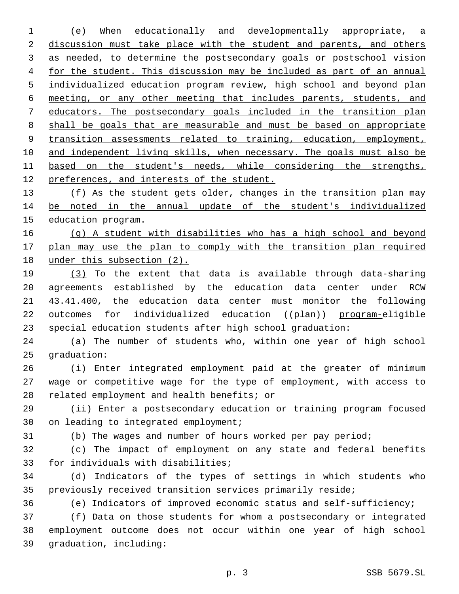(e) When educationally and developmentally appropriate, a 2 discussion must take place with the student and parents, and others as needed, to determine the postsecondary goals or postschool vision 4 for the student. This discussion may be included as part of an annual individualized education program review, high school and beyond plan meeting, or any other meeting that includes parents, students, and educators. The postsecondary goals included in the transition plan shall be goals that are measurable and must be based on appropriate 9 transition assessments related to training, education, employment, 10 and independent living skills, when necessary. The goals must also be based on the student's needs, while considering the strengths, preferences, and interests of the student. 13 (f) As the student gets older, changes in the transition plan may be noted in the annual update of the student's individualized education program. (g) A student with disabilities who has a high school and beyond plan may use the plan to comply with the transition plan required under this subsection (2). (3) To the extent that data is available through data-sharing agreements established by the education data center under RCW 43.41.400, the education data center must monitor the following 22 outcomes for individualized education ((plan)) program-eligible

special education students after high school graduation:

 (a) The number of students who, within one year of high school 25 graduation:

 (i) Enter integrated employment paid at the greater of minimum wage or competitive wage for the type of employment, with access to 28 related employment and health benefits; or

 (ii) Enter a postsecondary education or training program focused 30 on leading to integrated employment;

(b) The wages and number of hours worked per pay period;

 (c) The impact of employment on any state and federal benefits 33 for individuals with disabilities;

 (d) Indicators of the types of settings in which students who previously received transition services primarily reside;

(e) Indicators of improved economic status and self-sufficiency;

 (f) Data on those students for whom a postsecondary or integrated employment outcome does not occur within one year of high school 39 graduation, including: